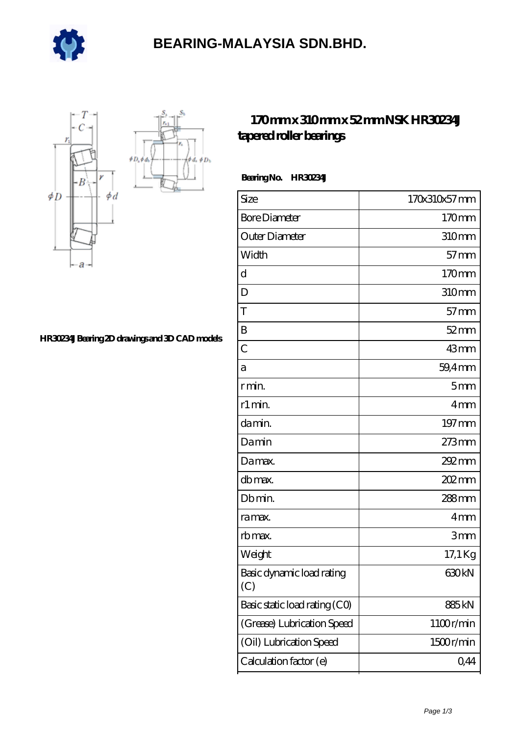

## **[BEARING-MALAYSIA SDN.BHD.](https://m.e-marc.net)**

 $\oint D_h$ 



#### **[HR30234J Bearing 2D drawings and 3D CAD models](https://m.e-marc.net/pic-65140846.html)**

### **[170 mm x 310 mm x 52 mm NSK HR30234J](https://m.e-marc.net/nsk-hr30234j-bearing/) [tapered roller bearings](https://m.e-marc.net/nsk-hr30234j-bearing/)**

#### **Bearing No. HR30234J**

| Size                             | 170x310x57 mm     |
|----------------------------------|-------------------|
| <b>Bore Diameter</b>             | 170mm             |
| Outer Diameter                   | 310mm             |
| Width                            | $57$ mm           |
| d                                | 170mm             |
| D                                | 310mm             |
| T                                | $57 \text{mm}$    |
| B                                | $52$ mm           |
| $\overline{C}$                   | $43$ mm           |
| а                                | 59,4mm            |
| r min.                           | 5mm               |
| r1 min.                          | 4mm               |
| damin.                           | 197 mm            |
| Damin                            | 273mm             |
| Damax.                           | 292 mm            |
| db max.                          | $202 \text{mm}$   |
| Db min.                          | 288mm             |
| ra max.                          | 4 <sub>mm</sub>   |
| rb max.                          | 3mm               |
| Weight                           | 17,1 Kg           |
| Basic dynamic load rating<br>(C) | 630 <sub>kN</sub> |
| Basic static load rating (CO)    | 885kN             |
| (Grease) Lubrication Speed       | 1100r/min         |
| (Oil) Lubrication Speed          | 1500r/min         |
| Calculation factor (e)           | 0,44              |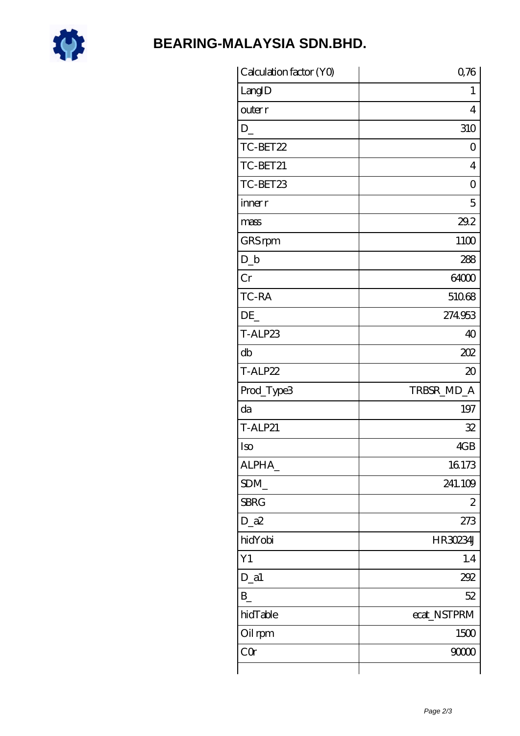

# **BEARING-MALAYSIA SDN.BHD.**

| Calculation factor (YO) | 0,76           |
|-------------------------|----------------|
| LangID                  | 1              |
| outer r                 | 4              |
| D                       | 310            |
| TC-BET22                | 0              |
| TC-BET21                | $\overline{4}$ |
| TC-BET23                | 0              |
| inner r                 | 5              |
| mass                    | 29.2           |
| GRS rpm                 | 1100           |
| $D_b$                   | 288            |
| Cr                      | 64000          |
| TC-RA                   | 51068          |
| DE                      | 274953         |
| T-ALP23                 | 40             |
| db                      | 202            |
| T-ALP22                 | $\infty$       |
| Prod_Type3              | TRBSR_MD_A     |
| da                      | 197            |
| <b>T-ALP21</b>          | 32             |
| Iso                     | 4GB            |
| ALPHA_                  | 16173          |
| SDM_                    | 241.109        |
| <b>SBRG</b>             | 2              |
| $D_a2$                  | 273            |
| hidYobi                 | HR30234J       |
| Y1                      | 1.4            |
| $D_a1$                  | 292            |
| $B_{-}$                 | 52             |
| hidTable                | ecat_NSTPRM    |
| Oil rpm                 | 1500           |
| CQr                     | 9000           |
|                         |                |